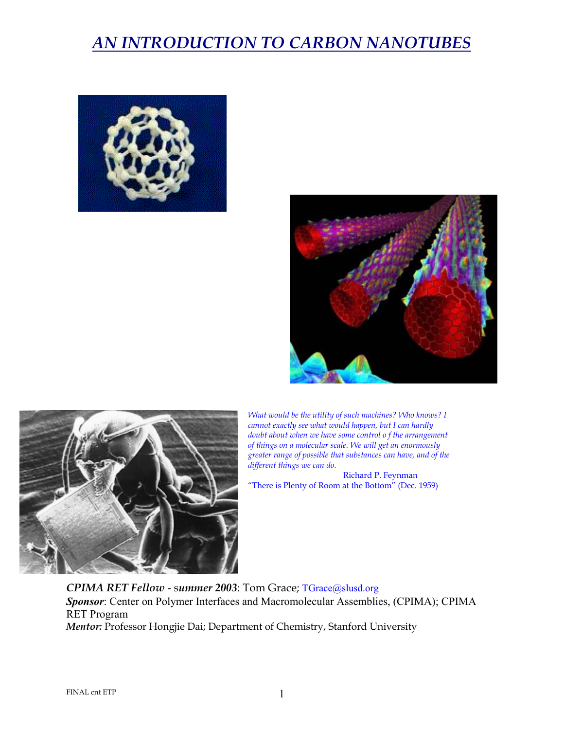





*What would be the utility of such machines? Who knows? I cannot exactly see what would happen, but I can hardly doubt about when we have some control o f the arrangement of things on a molecular scale. We will get an enormously greater range of possible that substances can have, and of the different things we can do.* 

Richard P. Feynman "There is Plenty of Room at the Bottom" (Dec. 1959)

*CPIMA RET Fellow* - s*ummer 2003*: Tom Grace; TGrace@slusd.org *Sponsor*: Center on Polymer Interfaces and Macromolecular Assemblies, (CPIMA); CPIMA RET Program *Mentor:* Professor Hongjie Dai; Department of Chemistry, Stanford University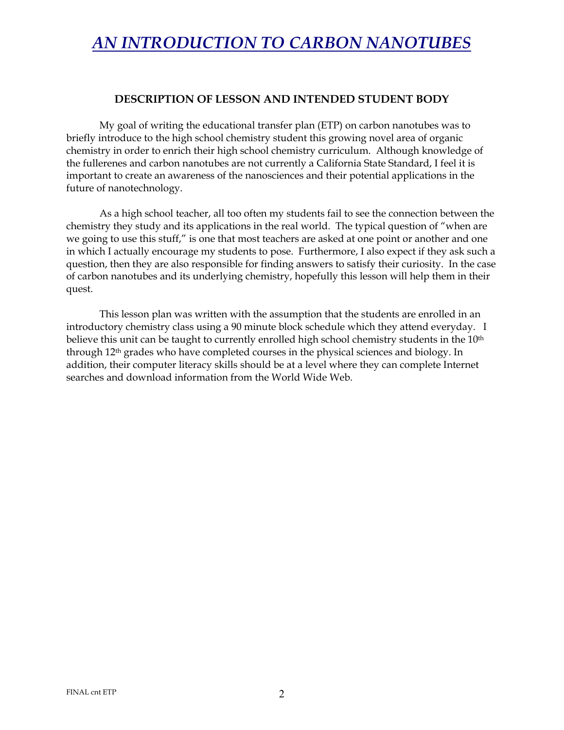#### **DESCRIPTION OF LESSON AND INTENDED STUDENT BODY**

My goal of writing the educational transfer plan (ETP) on carbon nanotubes was to briefly introduce to the high school chemistry student this growing novel area of organic chemistry in order to enrich their high school chemistry curriculum. Although knowledge of the fullerenes and carbon nanotubes are not currently a California State Standard, I feel it is important to create an awareness of the nanosciences and their potential applications in the future of nanotechnology.

As a high school teacher, all too often my students fail to see the connection between the chemistry they study and its applications in the real world. The typical question of "when are we going to use this stuff," is one that most teachers are asked at one point or another and one in which I actually encourage my students to pose. Furthermore, I also expect if they ask such a question, then they are also responsible for finding answers to satisfy their curiosity. In the case of carbon nanotubes and its underlying chemistry, hopefully this lesson will help them in their quest.

This lesson plan was written with the assumption that the students are enrolled in an introductory chemistry class using a 90 minute block schedule which they attend everyday. I believe this unit can be taught to currently enrolled high school chemistry students in the 10<sup>th</sup> through 12th grades who have completed courses in the physical sciences and biology. In addition, their computer literacy skills should be at a level where they can complete Internet searches and download information from the World Wide Web.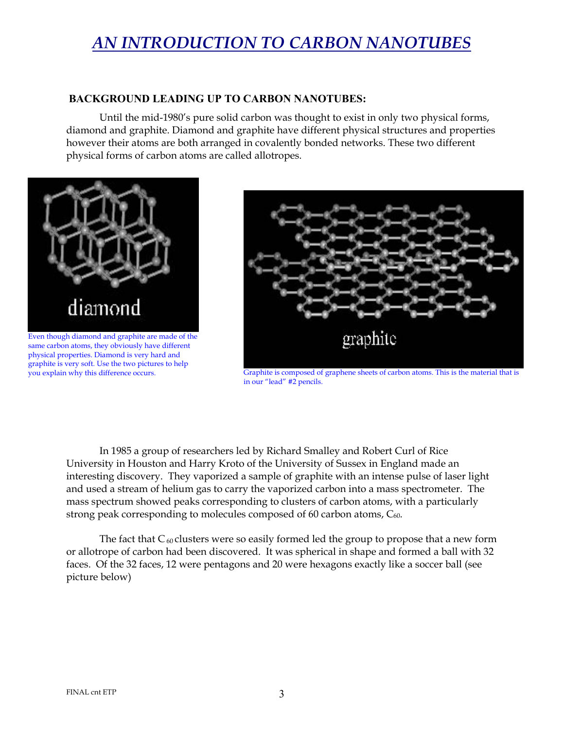#### **BACKGROUND LEADING UP TO CARBON NANOTUBES:**

Until the mid-1980's pure solid carbon was thought to exist in only two physical forms, diamond and graphite. Diamond and graphite have different physical structures and properties however their atoms are both arranged in covalently bonded networks. These two different physical forms of carbon atoms are called allotropes.



same carbon atoms, they obviously have different physical properties. Diamond is very hard and graphite is very soft. Use the two pictures to help you explain why this difference occurs.



Graphite is composed of graphene sheets of carbon atoms. This is the material that is in our "lead" #2 pencils.

In 1985 a group of researchers led by Richard Smalley and Robert Curl of Rice University in Houston and Harry Kroto of the University of Sussex in England made an interesting discovery. They vaporized a sample of graphite with an intense pulse of laser light and used a stream of helium gas to carry the vaporized carbon into a mass spectrometer. The mass spectrum showed peaks corresponding to clusters of carbon atoms, with a particularly strong peak corresponding to molecules composed of 60 carbon atoms,  $C_{60}$ .

The fact that  $C_{60}$  clusters were so easily formed led the group to propose that a new form or allotrope of carbon had been discovered. It was spherical in shape and formed a ball with 32 faces. Of the 32 faces, 12 were pentagons and 20 were hexagons exactly like a soccer ball (see picture below)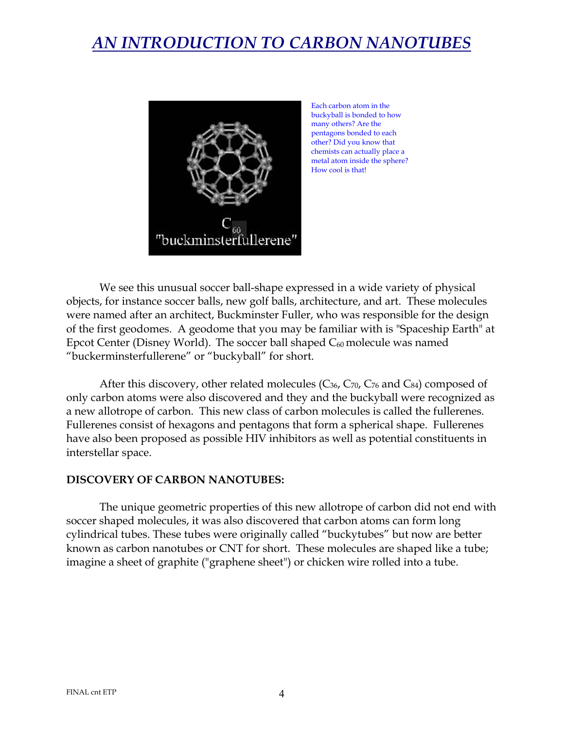

Each carbon atom in the buckyball is bonded to how many others? Are the pentagons bonded to each other? Did you know that chemists can actually place a metal atom inside the sphere? How cool is that!

We see this unusual soccer ball-shape expressed in a wide variety of physical objects, for instance soccer balls, new golf balls, architecture, and art. These molecules were named after an architect, Buckminster Fuller, who was responsible for the design of the first geodomes. A geodome that you may be familiar with is "Spaceship Earth" at Epcot Center (Disney World). The soccer ball shaped  $C_{60}$  molecule was named "buckerminsterfullerene" or "buckyball" for short.

After this discovery, other related molecules  $(C_{36}, C_{70}, C_{76} \text{ and } C_{84})$  composed of only carbon atoms were also discovered and they and the buckyball were recognized as a new allotrope of carbon. This new class of carbon molecules is called the fullerenes. Fullerenes consist of hexagons and pentagons that form a spherical shape. Fullerenes have also been proposed as possible HIV inhibitors as well as potential constituents in interstellar space.

#### **DISCOVERY OF CARBON NANOTUBES:**

The unique geometric properties of this new allotrope of carbon did not end with soccer shaped molecules, it was also discovered that carbon atoms can form long cylindrical tubes. These tubes were originally called "buckytubes" but now are better known as carbon nanotubes or CNT for short. These molecules are shaped like a tube; imagine a sheet of graphite ("graphene sheet") or chicken wire rolled into a tube.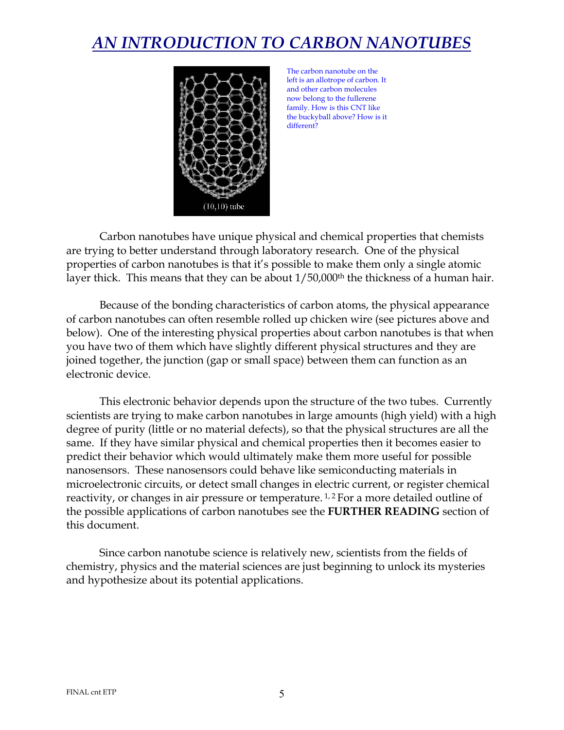

The carbon nanotube on the left is an allotrope of carbon. It and other carbon molecules now belong to the fullerene family. How is this CNT like the buckyball above? How is it different?

Carbon nanotubes have unique physical and chemical properties that chemists are trying to better understand through laboratory research. One of the physical properties of carbon nanotubes is that it's possible to make them only a single atomic layer thick. This means that they can be about  $1/50,000$ <sup>th</sup> the thickness of a human hair.

Because of the bonding characteristics of carbon atoms, the physical appearance of carbon nanotubes can often resemble rolled up chicken wire (see pictures above and below). One of the interesting physical properties about carbon nanotubes is that when you have two of them which have slightly different physical structures and they are joined together, the junction (gap or small space) between them can function as an electronic device.

This electronic behavior depends upon the structure of the two tubes. Currently scientists are trying to make carbon nanotubes in large amounts (high yield) with a high degree of purity (little or no material defects), so that the physical structures are all the same. If they have similar physical and chemical properties then it becomes easier to predict their behavior which would ultimately make them more useful for possible nanosensors. These nanosensors could behave like semiconducting materials in microelectronic circuits, or detect small changes in electric current, or register chemical reactivity, or changes in air pressure or temperature. 1, 2 For a more detailed outline of the possible applications of carbon nanotubes see the **FURTHER READING** section of this document.

Since carbon nanotube science is relatively new, scientists from the fields of chemistry, physics and the material sciences are just beginning to unlock its mysteries and hypothesize about its potential applications.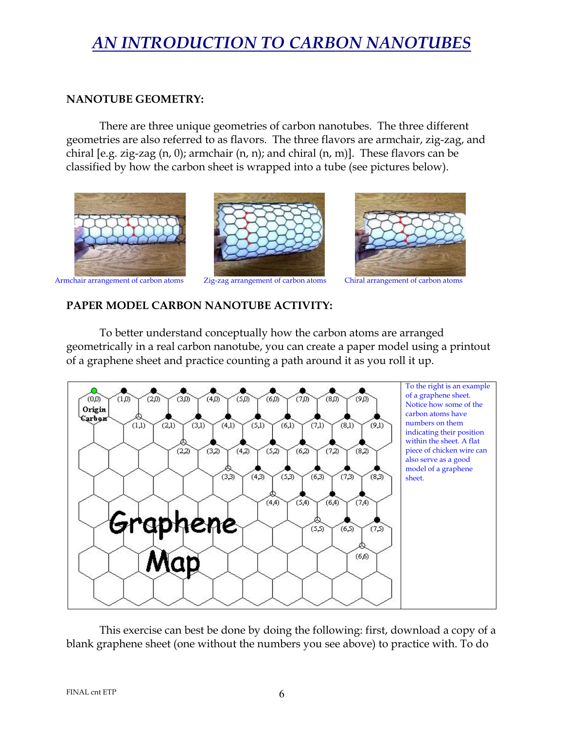### **NANOTUBE GEOMETRY:**

There are three unique geometries of carbon nanotubes. The three different geometries are also referred to as flavors. The three flavors are armchair, zig-zag, and chiral [e.g. zig-zag  $(n, 0)$ ; armchair  $(n, n)$ ; and chiral  $(n, m)$ ]. These flavors can be classified by how the carbon sheet is wrapped into a tube (see pictures below).



#### **PAPER MODEL CARBON NANOTUBE ACTIVITY:**

To better understand conceptually how the carbon atoms are arranged geometrically in a real carbon nanotube, you can create a paper model using a printout of a graphene sheet and practice counting a path around it as you roll it up.



This exercise can best be done by doing the following: first, download a copy of a blank graphene sheet (one without the numbers you see above) to practice with. To do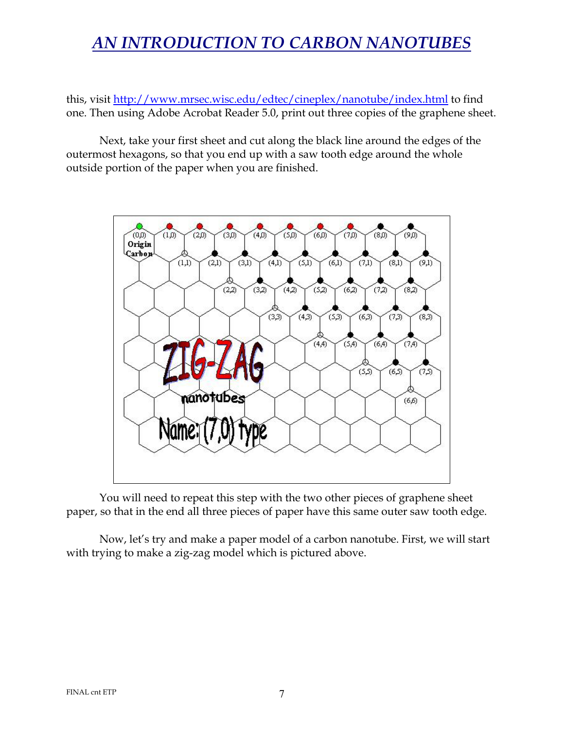this, visit http://www.mrsec.wisc.edu/edtec/cineplex/nanotube/index.html to find one. Then using Adobe Acrobat Reader 5.0, print out three copies of the graphene sheet.

Next, take your first sheet and cut along the black line around the edges of the outermost hexagons, so that you end up with a saw tooth edge around the whole outside portion of the paper when you are finished.



You will need to repeat this step with the two other pieces of graphene sheet paper, so that in the end all three pieces of paper have this same outer saw tooth edge.

Now, let's try and make a paper model of a carbon nanotube. First, we will start with trying to make a zig-zag model which is pictured above.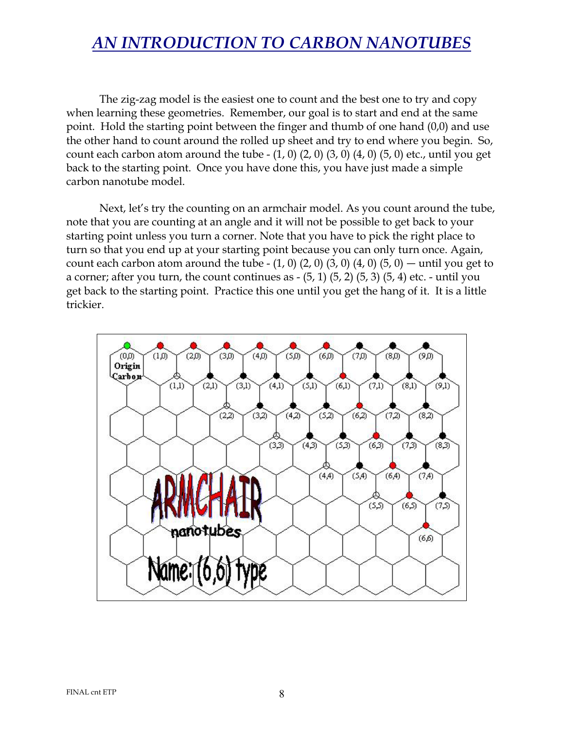The zig-zag model is the easiest one to count and the best one to try and copy when learning these geometries. Remember, our goal is to start and end at the same point. Hold the starting point between the finger and thumb of one hand (0,0) and use the other hand to count around the rolled up sheet and try to end where you begin. So, count each carbon atom around the tube  $- (1, 0) (2, 0) (3, 0) (4, 0) (5, 0)$  etc., until you get back to the starting point. Once you have done this, you have just made a simple carbon nanotube model.

Next, let's try the counting on an armchair model. As you count around the tube, note that you are counting at an angle and it will not be possible to get back to your starting point unless you turn a corner. Note that you have to pick the right place to turn so that you end up at your starting point because you can only turn once. Again, count each carbon atom around the tube  $- (1, 0) (2, 0) (3, 0) (4, 0) (5, 0)$  — until you get to a corner; after you turn, the count continues as  $-$  (5, 1) (5, 2) (5, 3) (5, 4) etc.  $-$  until you get back to the starting point. Practice this one until you get the hang of it. It is a little trickier.

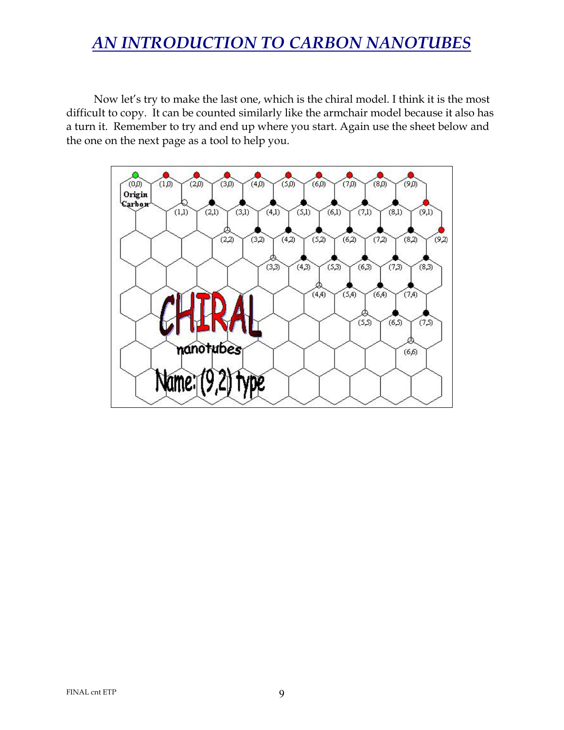Now let's try to make the last one, which is the chiral model. I think it is the most difficult to copy. It can be counted similarly like the armchair model because it also has a turn it. Remember to try and end up where you start. Again use the sheet below and the one on the next page as a tool to help you.

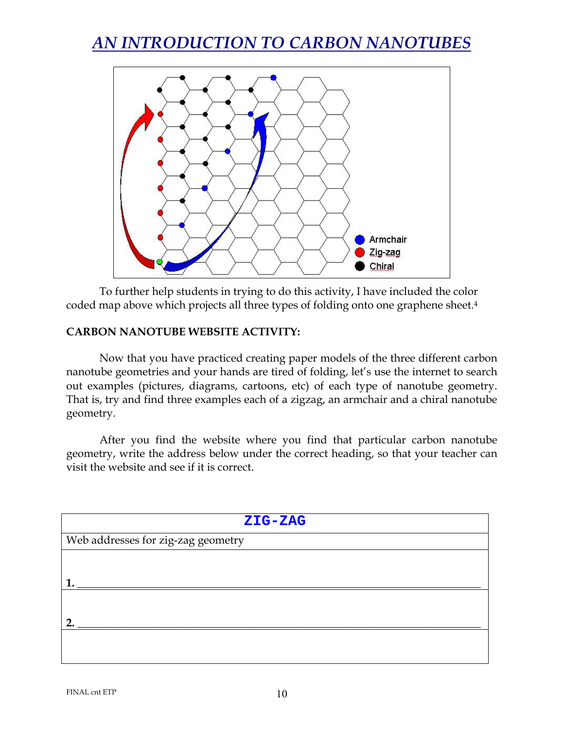

To further help students in trying to do this activity, I have included the color coded map above which projects all three types of folding onto one graphene sheet.4

#### **CARBON NANOTUBE WEBSITE ACTIVITY:**

Now that you have practiced creating paper models of the three different carbon nanotube geometries and your hands are tired of folding, let's use the internet to search out examples (pictures, diagrams, cartoons, etc) of each type of nanotube geometry. That is, try and find three examples each of a zigzag, an armchair and a chiral nanotube geometry.

After you find the website where you find that particular carbon nanotube geometry, write the address below under the correct heading, so that your teacher can visit the website and see if it is correct.

| ZIG-ZAG                            |
|------------------------------------|
| Web addresses for zig-zag geometry |
|                                    |
|                                    |
|                                    |
| ר                                  |
|                                    |
|                                    |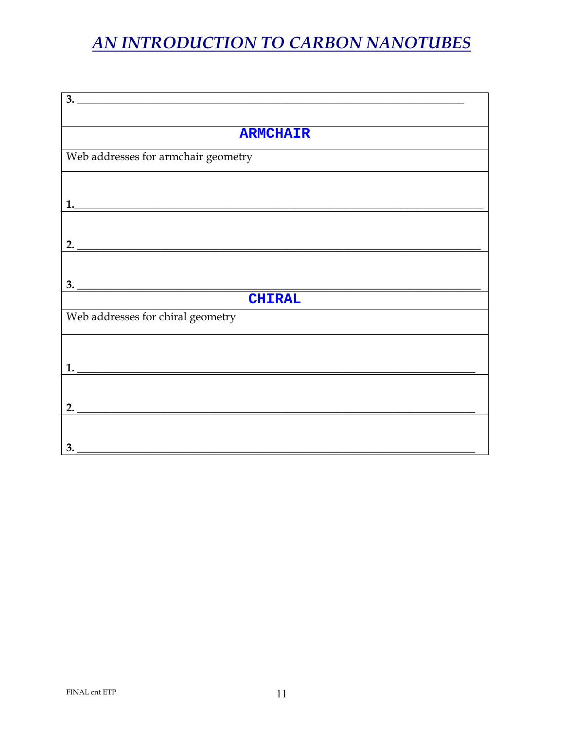| $\overline{\mathbf{3.}}$                                                                                                    |
|-----------------------------------------------------------------------------------------------------------------------------|
|                                                                                                                             |
| <b>ARMCHAIR</b>                                                                                                             |
|                                                                                                                             |
| Web addresses for armchair geometry                                                                                         |
|                                                                                                                             |
|                                                                                                                             |
|                                                                                                                             |
|                                                                                                                             |
|                                                                                                                             |
| 2. $\overline{\phantom{a}}$                                                                                                 |
|                                                                                                                             |
|                                                                                                                             |
| <b>CHIRAL</b>                                                                                                               |
| Web addresses for chiral geometry                                                                                           |
|                                                                                                                             |
|                                                                                                                             |
|                                                                                                                             |
|                                                                                                                             |
|                                                                                                                             |
|                                                                                                                             |
|                                                                                                                             |
|                                                                                                                             |
| 3.<br><u> 1980 - Jan Stein, amerikan besteman besteman besteman besteman besteman besteman besteman besteman besteman b</u> |
|                                                                                                                             |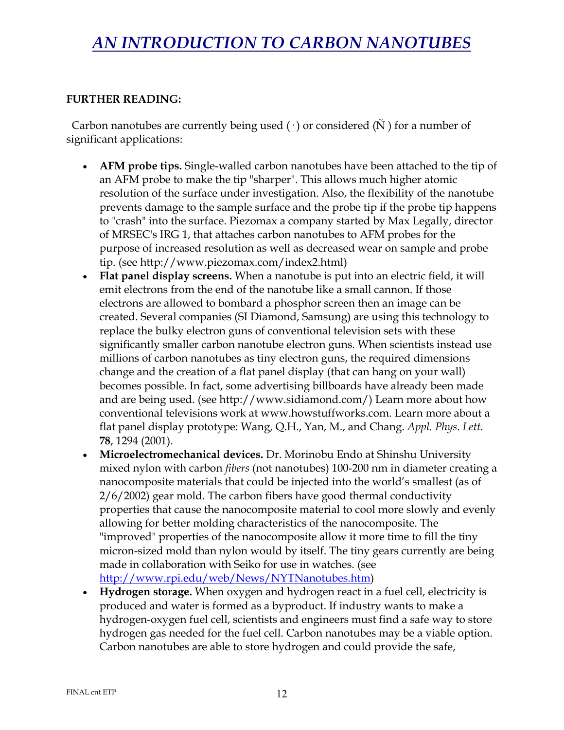#### **FURTHER READING:**

Carbon nanotubes are currently being used  $(\cdot)$  or considered  $(\tilde{N})$  for a number of significant applications:

- **AFM probe tips.** Single-walled carbon nanotubes have been attached to the tip of an AFM probe to make the tip "sharper". This allows much higher atomic resolution of the surface under investigation. Also, the flexibility of the nanotube prevents damage to the sample surface and the probe tip if the probe tip happens to "crash" into the surface. Piezomax a company started by Max Legally, director of MRSEC's IRG 1, that attaches carbon nanotubes to AFM probes for the purpose of increased resolution as well as decreased wear on sample and probe tip. (see http://www.piezomax.com/index2.html)
- **Flat panel display screens.** When a nanotube is put into an electric field, it will emit electrons from the end of the nanotube like a small cannon. If those electrons are allowed to bombard a phosphor screen then an image can be created. Several companies (SI Diamond, Samsung) are using this technology to replace the bulky electron guns of conventional television sets with these significantly smaller carbon nanotube electron guns. When scientists instead use millions of carbon nanotubes as tiny electron guns, the required dimensions change and the creation of a flat panel display (that can hang on your wall) becomes possible. In fact, some advertising billboards have already been made and are being used. (see http://www.sidiamond.com/) Learn more about how conventional televisions work at www.howstuffworks.com. Learn more about a flat panel display prototype: Wang, Q.H., Yan, M., and Chang. *Appl. Phys. Lett.* **78**, 1294 (2001).
- **Microelectromechanical devices.** Dr. Morinobu Endo at Shinshu University mixed nylon with carbon *fibers* (not nanotubes) 100-200 nm in diameter creating a nanocomposite materials that could be injected into the world's smallest (as of 2/6/2002) gear mold. The carbon fibers have good thermal conductivity properties that cause the nanocomposite material to cool more slowly and evenly allowing for better molding characteristics of the nanocomposite. The "improved" properties of the nanocomposite allow it more time to fill the tiny micron-sized mold than nylon would by itself. The tiny gears currently are being made in collaboration with Seiko for use in watches. (see http://www.rpi.edu/web/News/NYTNanotubes.htm)
- **Hydrogen storage.** When oxygen and hydrogen react in a fuel cell, electricity is produced and water is formed as a byproduct. If industry wants to make a hydrogen-oxygen fuel cell, scientists and engineers must find a safe way to store hydrogen gas needed for the fuel cell. Carbon nanotubes may be a viable option. Carbon nanotubes are able to store hydrogen and could provide the safe,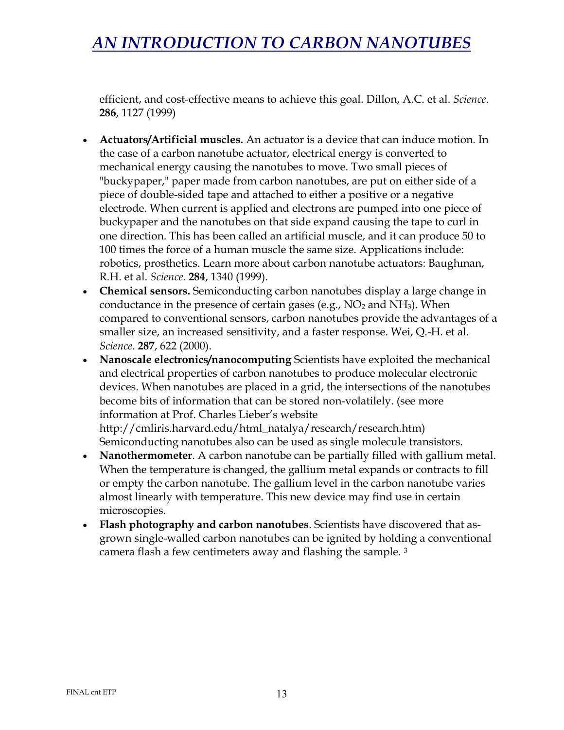efficient, and cost-effective means to achieve this goal. Dillon, A.C. et al. *Science*. **286**, 1127 (1999)

- **Actuators/Artificial muscles.** An actuator is a device that can induce motion. In the case of a carbon nanotube actuator, electrical energy is converted to mechanical energy causing the nanotubes to move. Two small pieces of "buckypaper," paper made from carbon nanotubes, are put on either side of a piece of double-sided tape and attached to either a positive or a negative electrode. When current is applied and electrons are pumped into one piece of buckypaper and the nanotubes on that side expand causing the tape to curl in one direction. This has been called an artificial muscle, and it can produce 50 to 100 times the force of a human muscle the same size. Applications include: robotics, prosthetics. Learn more about carbon nanotube actuators: Baughman, R.H. et al. *Science.* **284**, 1340 (1999).
- **Chemical sensors.** Semiconducting carbon nanotubes display a large change in conductance in the presence of certain gases (e.g.,  $NO<sub>2</sub>$  and  $NH<sub>3</sub>$ ). When compared to conventional sensors, carbon nanotubes provide the advantages of a smaller size, an increased sensitivity, and a faster response. Wei, Q.-H. et al. *Science*. **287**, 622 (2000).
- **Nanoscale electronics/nanocomputing** Scientists have exploited the mechanical and electrical properties of carbon nanotubes to produce molecular electronic devices. When nanotubes are placed in a grid, the intersections of the nanotubes become bits of information that can be stored non-volatilely. (see more information at Prof. Charles Lieber's website http://cmliris.harvard.edu/html\_natalya/research/research.htm) Semiconducting nanotubes also can be used as single molecule transistors.
- **Nanothermometer**. A carbon nanotube can be partially filled with gallium metal. When the temperature is changed, the gallium metal expands or contracts to fill or empty the carbon nanotube. The gallium level in the carbon nanotube varies almost linearly with temperature. This new device may find use in certain microscopies.
- **Flash photography and carbon nanotubes**. Scientists have discovered that asgrown single-walled carbon nanotubes can be ignited by holding a conventional camera flash a few centimeters away and flashing the sample. 3